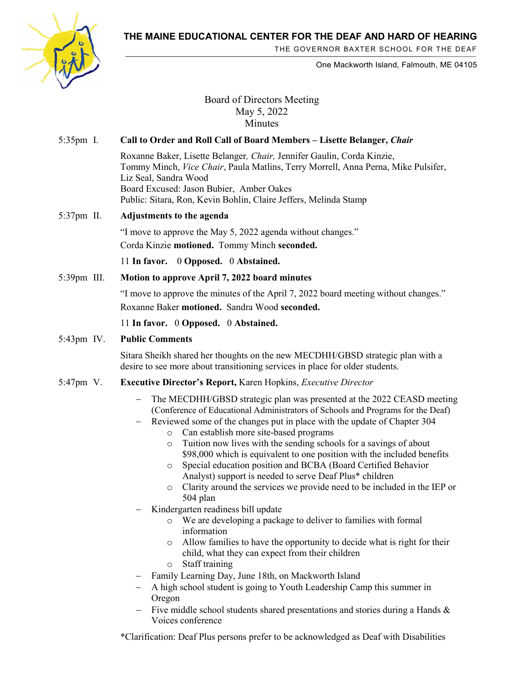**THE MAINE EDUCATIONAL CENTER FOR THE DEAF AND HARD OF HEARING**



THE GOVERNOR BAXTER SCHOOL FOR THE DEAF

One Mackworth Island, Falmouth, ME 04105

Board of Directors Meeting May 5, 2022 Minutes

# 5:35pm I. **Call to Order and Roll Call of Board Members – Lisette Belanger,** *Chair*

Roxanne Baker, Lisette Belanger*, Chair,* Jennifer Gaulin, Corda Kinzie, Tommy Minch, *Vice Chair*, Paula Matlins, Terry Morrell, Anna Perna, Mike Pulsifer, Liz Seal, Sandra Wood Board Excused: Jason Bubier, Amber Oakes Public: Sitara, Ron, Kevin Bohlin, Claire Jeffers, Melinda Stamp

## 5:37pm II. **Adjustments to the agenda**

"I move to approve the May 5, 2022 agenda without changes." Corda Kinzie **motioned.** Tommy Minch **seconded.**

11 **In favor.** 0 **Opposed.** 0 **Abstained.** 

5:39pm III. **Motion to approve April 7, 2022 board minutes**

"I move to approve the minutes of the April 7, 2022 board meeting without changes." Roxanne Baker **motioned.** Sandra Wood **seconded.**

11 **In favor.** 0 **Opposed.** 0 **Abstained.** 

### 5:43pm IV. **Public Comments**

Sitara Sheikh shared her thoughts on the new MECDHH/GBSD strategic plan with a desire to see more about transitioning services in place for older students.

#### 5:47pm V. **Executive Director's Report,** Karen Hopkins, *Executive Director*

- The MECDHH/GBSD strategic plan was presented at the 2022 CEASD meeting (Conference of Educational Administrators of Schools and Programs for the Deaf)
- − Reviewed some of the changes put in place with the update of Chapter 304
	- o Can establish more site-based programs
	- o Tuition now lives with the sending schools for a savings of about \$98,000 which is equivalent to one position with the included benefits
	- o Special education position and BCBA (Board Certified Behavior Analyst) support is needed to serve Deaf Plus\* children
	- o Clarity around the services we provide need to be included in the IEP or 504 plan
- Kindergarten readiness bill update
	- o We are developing a package to deliver to families with formal information
	- o Allow families to have the opportunity to decide what is right for their child, what they can expect from their children
	- o Staff training
- − Family Learning Day, June 18th, on Mackworth Island
- − A high school student is going to Youth Leadership Camp this summer in Oregon
- Five middle school students shared presentations and stories during a Hands & Voices conference

\*Clarification: Deaf Plus persons prefer to be acknowledged as Deaf with Disabilities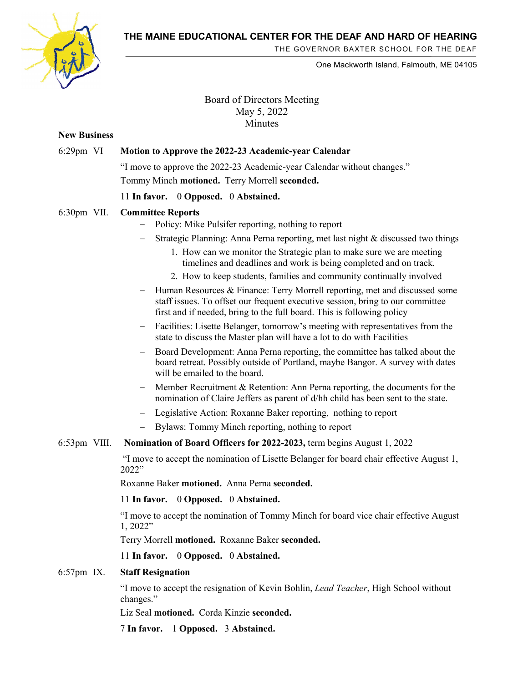**THE MAINE EDUCATIONAL CENTER FOR THE DEAF AND HARD OF HEARING**



THE GOVERNOR BAXTER SCHOOL FOR THE DEAF

One Mackworth Island, Falmouth, ME 04105

# Board of Directors Meeting May 5, 2022 **Minutes**

# **New Business** 6:29pm VI **Motion to Approve the 2022-23 Academic-year Calendar** "I move to approve the 2022-23 Academic-year Calendar without changes." Tommy Minch **motioned.** Terry Morrell **seconded.** 11 **In favor.** 0 **Opposed.** 0 **Abstained.**  6:30pm VII. **Committee Reports**  Policy: Mike Pulsifer reporting, nothing to report Strategic Planning: Anna Perna reporting, met last night & discussed two things 1. How can we monitor the Strategic plan to make sure we are meeting timelines and deadlines and work is being completed and on track. 2. How to keep students, families and community continually involved Human Resources & Finance: Terry Morrell reporting, met and discussed some staff issues. To offset our frequent executive session, bring to our committee first and if needed, bring to the full board. This is following policy Facilities: Lisette Belanger, tomorrow's meeting with representatives from the state to discuss the Master plan will have a lot to do with Facilities Board Development: Anna Perna reporting, the committee has talked about the board retreat. Possibly outside of Portland, maybe Bangor. A survey with dates will be emailed to the board. Member Recruitment & Retention: Ann Perna reporting, the documents for the nomination of Claire Jeffers as parent of d/hh child has been sent to the state. − Legislative Action: Roxanne Baker reporting, nothing to report Bylaws: Tommy Minch reporting, nothing to report 6:53pm VIII. **Nomination of Board Officers for 2022-2023,** term begins August 1, 2022 "I move to accept the nomination of Lisette Belanger for board chair effective August 1, 2022" Roxanne Baker **motioned.** Anna Perna **seconded.** 11 **In favor.** 0 **Opposed.** 0 **Abstained.**  "I move to accept the nomination of Tommy Minch for board vice chair effective August 1, 2022" Terry Morrell **motioned.** Roxanne Baker **seconded.** 11 **In favor.** 0 **Opposed.** 0 **Abstained.**  6:57pm IX. **Staff Resignation** "I move to accept the resignation of Kevin Bohlin, *Lead Teacher*, High School without changes." Liz Seal **motioned.** Corda Kinzie **seconded.**

7 **In favor.** 1 **Opposed.** 3 **Abstained.**